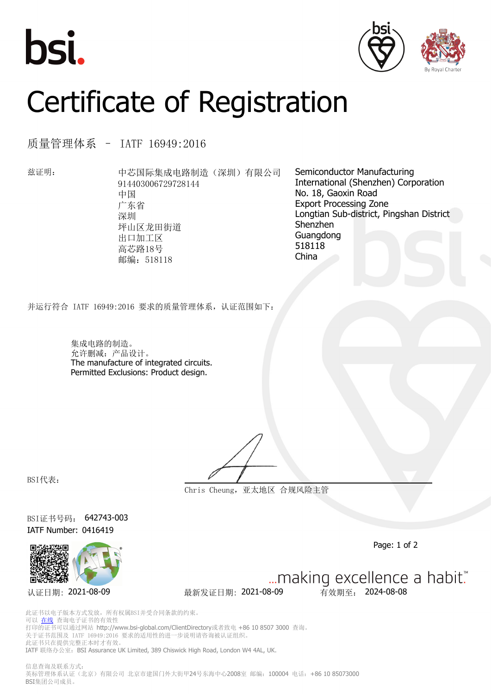





## Certificate of Registration

质量管理体系 – IATF 16949:2016

兹证明: 中芯国际集成电路制造(深圳)有限公司 914403006729728144 中国 广东省 深圳 坪山区龙田街道 出口加工区 高芯路18号 邮编:518118

Semiconductor Manufacturing International (Shenzhen) Corporation No. 18, Gaoxin Road Export Processing Zone Longtian Sub-district, Pingshan District Shenzhen Guangdong 518118 China

并运行符合 IATF 16949:2016 要求的质量管理体系,认证范围如下:

集成电路的制造。 允许删减:产品设计。 The manufacture of integrated circuits. Permitted Exclusions: Product design.

BSI代表:

**Chris Cheung,亚太地区 合规风险主管**

BSI证书号码: 642743-003 IATF Number: 0416419



Page: 1 of 2

认证日期: 2021-08-09 最新发证日期: 2021-08-09 有效期至: 2024-08-08

... making excellence a habit."

此证书以电子版本方式发放,所有权属BSI并受合同条款的约束。 可以 [在线](https://pgplus.bsigroup.com/CertificateValidation/CertificateValidator.aspx?CertificateNumber=642743-003&ReIssueDate=09%2f08%2f2021&Template=cn) 查询电子证书的有效性 打印的证书可以通过网站 http://www.bsi-global.com/ClientDirectory或者致电 +86 10 8507 3000 查询。 关于证书范围及 IATF 16949:2016 要求的适用性的进一步说明请咨询被认证组织。 此证书只在提供完整正本时才有效。 IATF 联络办公室: BSI Assurance UK Limited, 389 Chiswick High Road, London W4 4AL, UK.